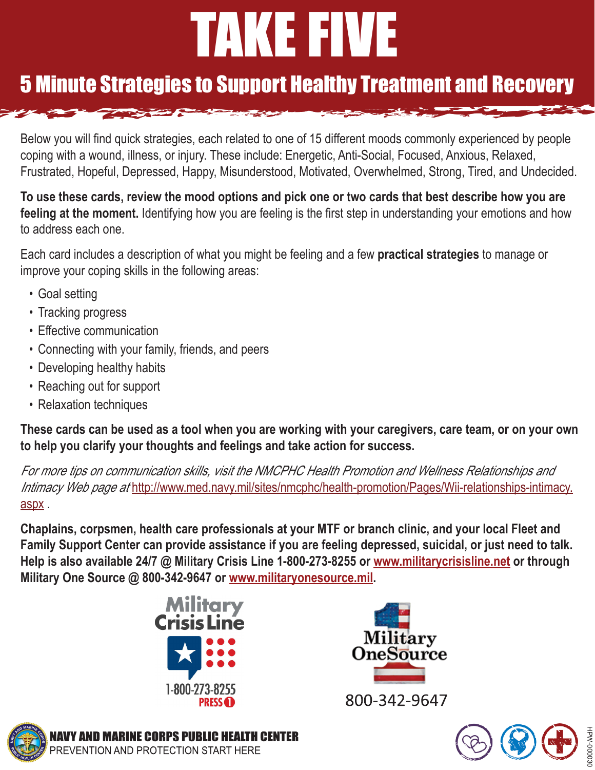# TAKE FIVE

# 5 Minute Strategies to Support Healthy Treatment and Recovery

Below you will find quick strategies, each related to one of 15 different moods commonly experienced by people coping with a wound, illness, or injury. These include: Energetic, Anti-Social, Focused, Anxious, Relaxed, Frustrated, Hopeful, Depressed, Happy, Misunderstood, Motivated, Overwhelmed, Strong, Tired, and Undecided.

**To use these cards, review the mood options and pick one or two cards that best describe how you are feeling at the moment.** Identifying how you are feeling is the first step in understanding your emotions and how to address each one.

Each card includes a description of what you might be feeling and a few **practical strategies** to manage or improve your coping skills in the following areas:

- Goal setting
- Tracking progress
- Effective communication
- Connecting with your family, friends, and peers
- Developing healthy habits
- Reaching out for support
- Relaxation techniques

**These cards can be used as a tool when you are working with your caregivers, care team, or on your own to help you clarify your thoughts and feelings and take action for success.** 

For more tips on communication skills, visit the NMCPHC Health Promotion and Wellness Relationships and Intimacy Web page at http://www.med.navy.mil/sites/nmcphc/health-promotion/Pages/Wii-relationships-intimacy. aspx .

**Chaplains, corpsmen, health care professionals at your MTF or branch clinic, and your local Fleet and Family Support Center can provide assistance if you are feeling depressed, suicidal, or just need to talk. Help is also available 24/7 @ Military Crisis Line 1-800-273-8255 or [www.militarycrisisline.net](http://www.militarycrisisline.net) or through Military One Source @ 800-342-9647 or [www.militaryonesource.mil](http://www.militaryonesource.mil).**





800-342-9647



**MARINE CORPS PUBLIC HEALTH CENTER** PREVENTION AND PROTECTION START HERE

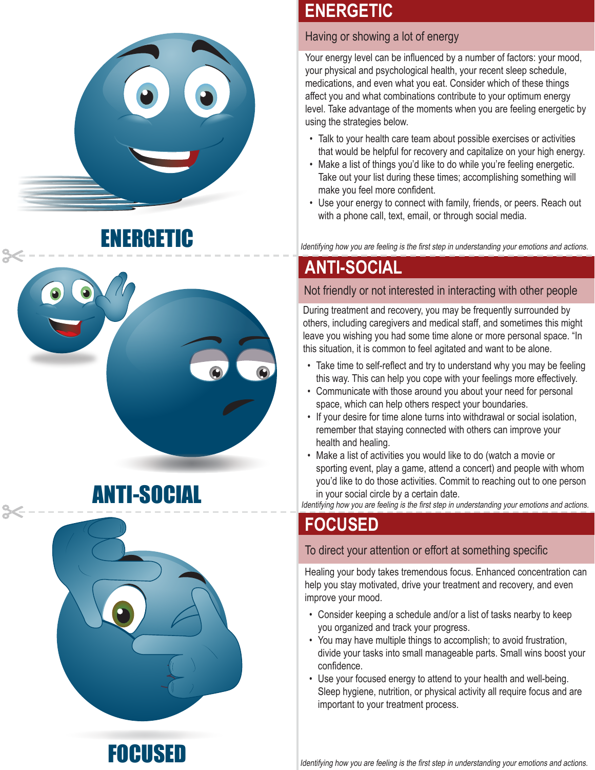





# **ENERGETIC**

## Having or showing a lot of energy

Your energy level can be influenced by a number of factors: your mood, your physical and psychological health, your recent sleep schedule, medications, and even what you eat. Consider which of these things affect you and what combinations contribute to your optimum energy level. Take advantage of the moments when you are feeling energetic by using the strategies below.

- Talk to your health care team about possible exercises or activities that would be helpful for recovery and capitalize on your high energy.
- Make a list of things you'd like to do while you're feeling energetic. Take out your list during these times; accomplishing something will make you feel more confident.
- Use your energy to connect with family, friends, or peers. Reach out with a phone call, text, email, or through social media.

**ERGETIC** IDERGETIC ISLA IDENTIFYING INTERFERENT IDENTIFYING INTERFERENT IDENTIFYING INTERFERENT IDENTIFYING IN

# **ANTI-SOCIAL**

## Not friendly or not interested in interacting with other people

During treatment and recovery, you may be frequently surrounded by others, including caregivers and medical staff, and sometimes this might leave you wishing you had some time alone or more personal space. "In this situation, it is common to feel agitated and want to be alone.

- Take time to self-reflect and try to understand why you may be feeling this way. This can help you cope with your feelings more effectively.
- Communicate with those around you about your need for personal space, which can help others respect your boundaries.
- If your desire for time alone turns into withdrawal or social isolation, remember that staying connected with others can improve your health and healing.
- Make a list of activities you would like to do (watch a movie or sporting event, play a game, attend a concert) and people with whom you'd like to do those activities. Commit to reaching out to one person ANTI-SOCIAL in your social circle by a certain date.

Identifying how you are feeling is the first step in understanding your emotions and actions.

# **FOCUSED**

#### To direct your attention or effort at something specific

Healing your body takes tremendous focus. Enhanced concentration can help you stay motivated, drive your treatment and recovery, and even improve your mood.

- Consider keeping a schedule and/or a list of tasks nearby to keep you organized and track your progress.
- You may have multiple things to accomplish; to avoid frustration, divide your tasks into small manageable parts. Small wins boost your confidence.
- Use your focused energy to attend to your health and well-being. Sleep hygiene, nutrition, or physical activity all require focus and are important to your treatment process.

**FOCUSED** Identifying how you are feeling is the first step in understanding your emotions and actions.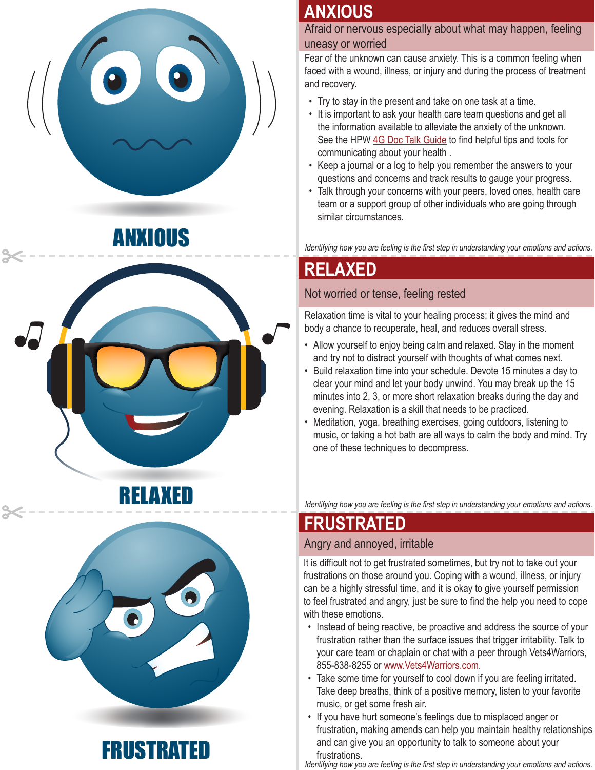





# **ANXIOUS**

Afraid or nervous especially about what may happen, feeling uneasy or worried

Fear of the unknown can cause anxiety. This is a common feeling when faced with a wound, illness, or injury and during the process of treatment and recovery.

- Try to stay in the present and take on one task at a time.
- It is important to ask your health care team questions and get all the information available to alleviate the anxiety of the unknown. See the HPW [4G Doc Talk Guide](http://www.med.navy.mil/sites/nmcphc/Documents/health-promotion-wellness/wounded-ill-and-injured/WII-Toolbox/Relationships-and-Intimacy/WII_RelandInt_DoctorGuide.pdf) to find helpful tips and tools for communicating about your health .
- Keep a journal or a log to help you remember the answers to your questions and concerns and track results to gauge your progress.
- Talk through your concerns with your peers, loved ones, health care team or a support group of other individuals who are going through similar circumstances.

# **RELAXED**

## Not worried or tense, feeling rested

Relaxation time is vital to your healing process; it gives the mind and body a chance to recuperate, heal, and reduces overall stress.

- Allow yourself to enjoy being calm and relaxed. Stay in the moment and try not to distract yourself with thoughts of what comes next.
- Build relaxation time into your schedule. Devote 15 minutes a day to clear your mind and let your body unwind. You may break up the 15 minutes into 2, 3, or more short relaxation breaks during the day and evening. Relaxation is a skill that needs to be practiced.
- Meditation, yoga, breathing exercises, going outdoors, listening to music, or taking a hot bath are all ways to calm the body and mind. Try one of these techniques to decompress.

Identifying how you are feeling is the first step in understanding your emotions and actions.

# **FRUSTRATED**

#### Angry and annoyed, irritable

It is difficult not to get frustrated sometimes, but try not to take out your frustrations on those around you. Coping with a wound, illness, or injury can be a highly stressful time, and it is okay to give yourself permission to feel frustrated and angry, just be sure to find the help you need to cope with these emotions.

- Instead of being reactive, be proactive and address the source of your frustration rather than the surface issues that trigger irritability. Talk to your care team or chaplain or chat with a peer through Vets4Warriors, 855-838-8255 or [www.Vets4Warriors.com.](http://www.Vets4Warriors.com)
- Take some time for yourself to cool down if you are feeling irritated. Take deep breaths, think of a positive memory, listen to your favorite music, or get some fresh air.
- If you have hurt someone's feelings due to misplaced anger or frustration, making amends can help you maintain healthy relationships FRUSTRATED and can give you an opportunity to talk to someone about your frustrations.

Identifying how you are feeling is the first step in understanding your emotions and actions.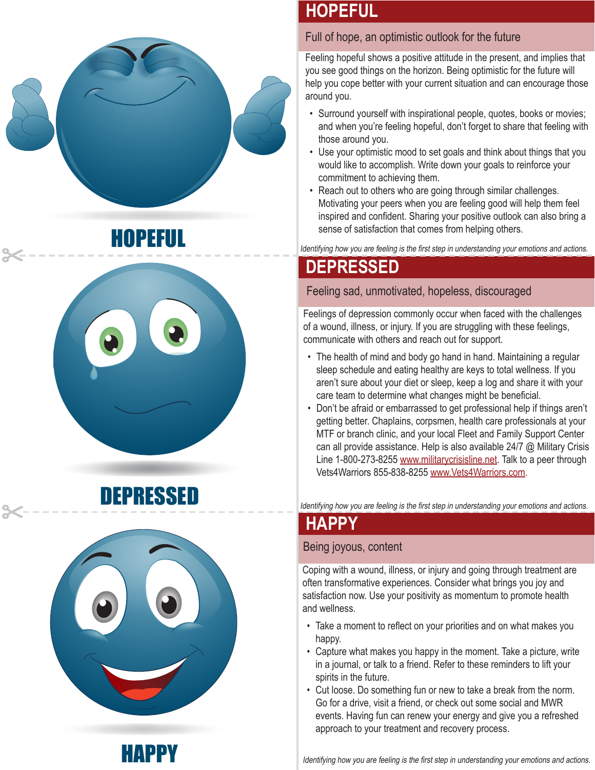







# **HOPEFUL**

#### Full of hope, an optimistic outlook for the future

Feeling hopeful shows a positive attitude in the present, and implies that you see good things on the horizon. Being optimistic for the future will help you cope better with your current situation and can encourage those around you.

- Surround yourself with inspirational people, quotes, books or movies; and when you're feeling hopeful, don't forget to share that feeling with those around you.
- Use your optimistic mood to set goals and think about things that you would like to accomplish. Write down your goals to reinforce your commitment to achieving them.
- Reach out to others who are going through similar challenges. Motivating your peers when you are feeling good will help them feel inspired and confident. Sharing your positive outlook can also bring a Sense of satisfaction that comes from helping others.<br>Identifying how you are feeling is the first step in understanding your emotions and actions.

# **DEPRESSED**

Feeling sad, unmotivated, hopeless, discouraged

Feelings of depression commonly occur when faced with the challenges of a wound, illness, or injury. If you are struggling with these feelings, communicate with others and reach out for support.

- The health of mind and body go hand in hand. Maintaining a regular sleep schedule and eating healthy are keys to total wellness. If you aren't sure about your diet or sleep, keep a log and share it with your care team to determine what changes might be beneficial.
- Don't be afraid or embarrassed to get professional help if things aren't getting better. Chaplains, corpsmen, health care professionals at your MTF or branch clinic, and your local Fleet and Family Support Center can all provide assistance. Help is also available 24/7 @ Military Crisis Line 1-800-273-8255 [www.militarycrisisline.net.](http://www.militarycrisisline.net) Talk to a peer through Vets4Warriors 855-838-8255 [www.Vets4Warriors.com.](http://www.Vets4Warriors.com)

**DEPRESSED** Identifying how you are feeling is the first step in understanding your emotions and actions.

# **HAPPY**

#### Being joyous, content

Coping with a wound, illness, or injury and going through treatment are often transformative experiences. Consider what brings you joy and satisfaction now. Use your positivity as momentum to promote health and wellness.

- Take a moment to reflect on your priorities and on what makes you happy.
- Capture what makes you happy in the moment. Take a picture, write in a journal, or talk to a friend. Refer to these reminders to lift your spirits in the future.
- Cut loose. Do something fun or new to take a break from the norm. Go for a drive, visit a friend, or check out some social and MWR events. Having fun can renew your energy and give you a refreshed approach to your treatment and recovery process.

**HAPPY** Identifying how you are feeling is the first step in understanding your emotions and actions.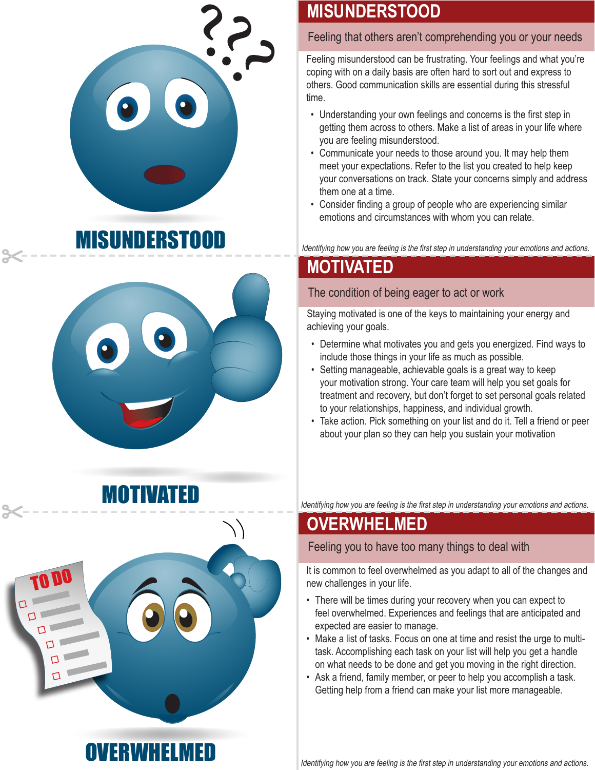





# **MISUNDERSTOOD**

#### Feeling that others aren't comprehending you or your needs

Feeling misunderstood can be frustrating. Your feelings and what you're coping with on a daily basis are often hard to sort out and express to others. Good communication skills are essential during this stressful time.

- Understanding your own feelings and concerns is the first step in getting them across to others. Make a list of areas in your life where you are feeling misunderstood.
- Communicate your needs to those around you. It may help them meet your expectations. Refer to the list you created to help keep your conversations on track. State your concerns simply and address them one at a time.
- Consider finding a group of people who are experiencing similar emotions and circumstances with whom you can relate.

Identifying how you are feeling is the first step in understanding your emotions and actions.

# **MOTIVATED**

## The condition of being eager to act or work

Staying motivated is one of the keys to maintaining your energy and achieving your goals.

- Determine what motivates you and gets you energized. Find ways to include those things in your life as much as possible.
- Setting manageable, achievable goals is a great way to keep your motivation strong. Your care team will help you set goals for treatment and recovery, but don't forget to set personal goals related to your relationships, happiness, and individual growth.
- Take action. Pick something on your list and do it. Tell a friend or peer about your plan so they can help you sustain your motivation

Identifying how you are feeling is the first step in understanding your emotions and actions.

# **OVERWHELMED**

Feeling you to have too many things to deal with

It is common to feel overwhelmed as you adapt to all of the changes and new challenges in your life.

- There will be times during your recovery when you can expect to feel overwhelmed. Experiences and feelings that are anticipated and expected are easier to manage.
- Make a list of tasks. Focus on one at time and resist the urge to multitask. Accomplishing each task on your list will help you get a handle on what needs to be done and get you moving in the right direction.
- Ask a friend, family member, or peer to help you accomplish a task. Getting help from a friend can make your list more manageable.